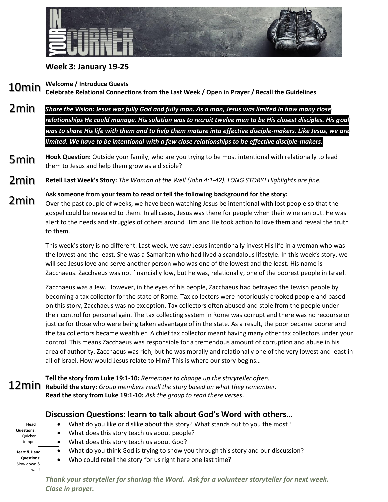

## **Week 3: January 19-25**

**Welcome / Introduce Guests** 10min

**Celebrate Relational Connections from the Last Week / Open in Prayer / Recall the Guidelines**

- *Share the Vision: Jesus was fully God and fully man. As a man, Jesus was limited in how many close relationships He could manage. His solution was to recruit twelve men to be His closest disciples. His goal was to share His life with them and to help them mature into effective disciple-makers. Like Jesus, we are limited. We have to be intentional with a few close relationships to be effective disciple-makers.* 2min
- **Hook Question:** Outside your family, who are you trying to be most intentional with relationally to lead them to Jesus and help them grow as a disciple? 5min
- **Retell Last Week's Story:** *The Woman at the Well (John 4:1-42). LONG STORY! Highlights are fine.* 2min
- **Ask someone from your team to read or tell the following background for the story:** Over the past couple of weeks, we have been watching Jesus be intentional with lost people so that the gospel could be revealed to them. In all cases, Jesus was there for people when their wine ran out. He was alert to the needs and struggles of others around Him and He took action to love them and reveal the truth to them. 2min

This week's story is no different. Last week, we saw Jesus intentionally invest His life in a woman who was the lowest and the least. She was a Samaritan who had lived a scandalous lifestyle. In this week's story, we will see Jesus love and serve another person who was one of the lowest and the least. His name is Zacchaeus. Zacchaeus was not financially low, but he was, relationally, one of the poorest people in Israel.

Zacchaeus was a Jew. However, in the eyes of his people, Zacchaeus had betrayed the Jewish people by becoming a tax collector for the state of Rome. Tax collectors were notoriously crooked people and based on this story, Zacchaeus was no exception. Tax collectors often abused and stole from the people under their control for personal gain. The tax collecting system in Rome was corrupt and there was no recourse or justice for those who were being taken advantage of in the state. As a result, the poor became poorer and the tax collectors became wealthier. A chief tax collector meant having many other tax collectors under your control. This means Zacchaeus was responsible for a tremendous amount of corruption and abuse in his area of authority. Zacchaeus was rich, but he was morally and relationally one of the very lowest and least in all of Israel. How would Jesus relate to Him? This is where our story begins…

**Tell the story from Luke 19:1-10:** *Remember to change up the storyteller often.* **Rebuild the story:** *Group members retell the story based on what they remember.* **Read the story from Luke 19:1-10:** *Ask the group to read these verses.*

## **Discussion Questions: learn to talk about God's Word with others…**

| Head                    |  |
|-------------------------|--|
| <b>Questions:</b>       |  |
| Quicker                 |  |
| tempo.                  |  |
|                         |  |
| <b>Heart &amp; Hand</b> |  |
| <b>Questions:</b>       |  |
| Slow down &             |  |
| waitl                   |  |

- What do you like or dislike about this story? What stands out to you the most?
- What does this story teach us about people?
- What does this story teach us about God?
- What do you think God is trying to show you through this story and our discussion?

Who could retell the story for us right here one last time?

*Thank your storyteller for sharing the Word. Ask for a volunteer storyteller for next week. Close in prayer.*